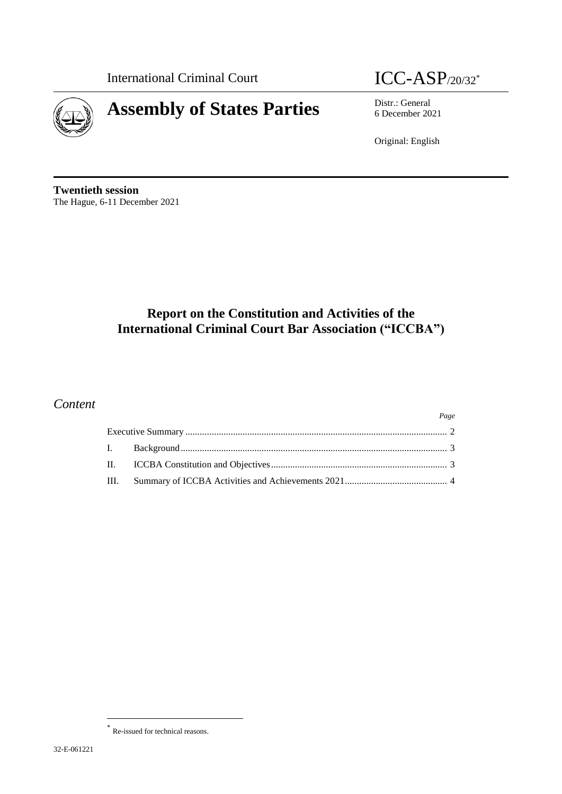International Criminal Court  $\text{ICC-ASP}_{/20/32^*}$ 



6 December 2021

Original: English

**Twentieth session** The Hague, 6-11 December 2021

# **Report on the Constitution and Activities of the International Criminal Court Bar Association ("ICCBA")**

# *Content*

|  |  | Page |
|--|--|------|
|  |  |      |
|  |  |      |
|  |  |      |
|  |  |      |

 $\overline{\phantom{a}}$ 

Re-issued for technical reasons.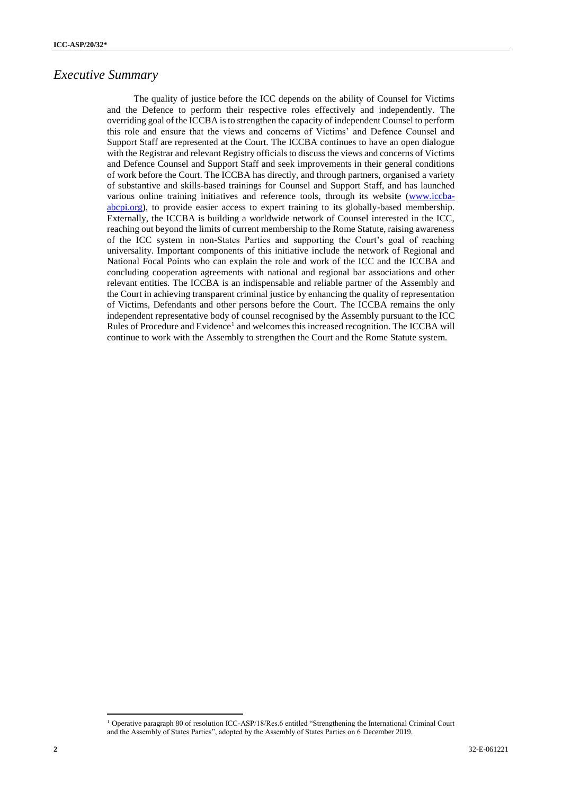#### *Executive Summary*

The quality of justice before the ICC depends on the ability of Counsel for Victims and the Defence to perform their respective roles effectively and independently. The overriding goal of the ICCBA is to strengthen the capacity of independent Counsel to perform this role and ensure that the views and concerns of Victims' and Defence Counsel and Support Staff are represented at the Court. The ICCBA continues to have an open dialogue with the Registrar and relevant Registry officials to discuss the views and concerns of Victims and Defence Counsel and Support Staff and seek improvements in their general conditions of work before the Court. The ICCBA has directly, and through partners, organised a variety of substantive and skills-based trainings for Counsel and Support Staff, and has launched various online training initiatives and reference tools, through its website [\(www.iccba](http://www.iccba-abcpi.org/)[abcpi.org\)](http://www.iccba-abcpi.org/), to provide easier access to expert training to its globally-based membership. Externally, the ICCBA is building a worldwide network of Counsel interested in the ICC, reaching out beyond the limits of current membership to the Rome Statute, raising awareness of the ICC system in non-States Parties and supporting the Court's goal of reaching universality. Important components of this initiative include the network of Regional and National Focal Points who can explain the role and work of the ICC and the ICCBA and concluding cooperation agreements with national and regional bar associations and other relevant entities. The ICCBA is an indispensable and reliable partner of the Assembly and the Court in achieving transparent criminal justice by enhancing the quality of representation of Victims, Defendants and other persons before the Court. The ICCBA remains the only independent representative body of counsel recognised by the Assembly pursuant to the ICC Rules of Procedure and Evidence<sup>1</sup> and welcomes this increased recognition. The ICCBA will continue to work with the Assembly to strengthen the Court and the Rome Statute system.

 $\overline{\phantom{a}}$ 

<sup>1</sup> Operative paragraph 80 of resolution ICC-ASP/18/Res.6 entitled "Strengthening the International Criminal Court and the Assembly of States Parties", adopted by the Assembly of States Parties on 6 December 2019.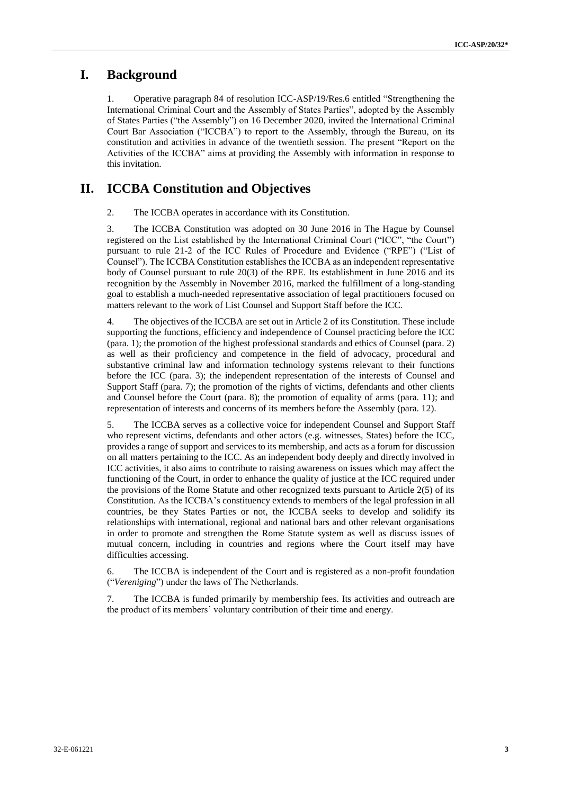#### **I. Background**

1. Operative paragraph 84 of resolution ICC-ASP/19/Res.6 entitled "Strengthening the International Criminal Court and the Assembly of States Parties", adopted by the Assembly of States Parties ("the Assembly") on 16 December 2020, invited the International Criminal Court Bar Association ("ICCBA") to report to the Assembly, through the Bureau, on its constitution and activities in advance of the twentieth session. The present "Report on the Activities of the ICCBA" aims at providing the Assembly with information in response to this invitation.

## **II. ICCBA Constitution and Objectives**

2. The ICCBA operates in accordance with its Constitution.

3. The ICCBA Constitution was adopted on 30 June 2016 in The Hague by Counsel registered on the List established by the International Criminal Court ("ICC", "the Court") pursuant to rule 21-2 of the ICC Rules of Procedure and Evidence ("RPE") ("List of Counsel"). The ICCBA Constitution establishes the ICCBA as an independent representative body of Counsel pursuant to rule 20(3) of the RPE. Its establishment in June 2016 and its recognition by the Assembly in November 2016, marked the fulfillment of a long-standing goal to establish a much-needed representative association of legal practitioners focused on matters relevant to the work of List Counsel and Support Staff before the ICC.

4. The objectives of the ICCBA are set out in Article 2 of its Constitution. These include supporting the functions, efficiency and independence of Counsel practicing before the ICC (para. 1); the promotion of the highest professional standards and ethics of Counsel (para. 2) as well as their proficiency and competence in the field of advocacy, procedural and substantive criminal law and information technology systems relevant to their functions before the ICC (para. 3); the independent representation of the interests of Counsel and Support Staff (para. 7); the promotion of the rights of victims, defendants and other clients and Counsel before the Court (para. 8); the promotion of equality of arms (para. 11); and representation of interests and concerns of its members before the Assembly (para. 12).

5. The ICCBA serves as a collective voice for independent Counsel and Support Staff who represent victims, defendants and other actors (e.g. witnesses, States) before the ICC, provides a range of support and services to its membership, and acts as a forum for discussion on all matters pertaining to the ICC. As an independent body deeply and directly involved in ICC activities, it also aims to contribute to raising awareness on issues which may affect the functioning of the Court, in order to enhance the quality of justice at the ICC required under the provisions of the Rome Statute and other recognized texts pursuant to Article 2(5) of its Constitution. As the ICCBA's constituency extends to members of the legal profession in all countries, be they States Parties or not, the ICCBA seeks to develop and solidify its relationships with international, regional and national bars and other relevant organisations in order to promote and strengthen the Rome Statute system as well as discuss issues of mutual concern, including in countries and regions where the Court itself may have difficulties accessing.

6. The ICCBA is independent of the Court and is registered as a non-profit foundation ("*Vereniging*") under the laws of The Netherlands.

7. The ICCBA is funded primarily by membership fees. Its activities and outreach are the product of its members' voluntary contribution of their time and energy.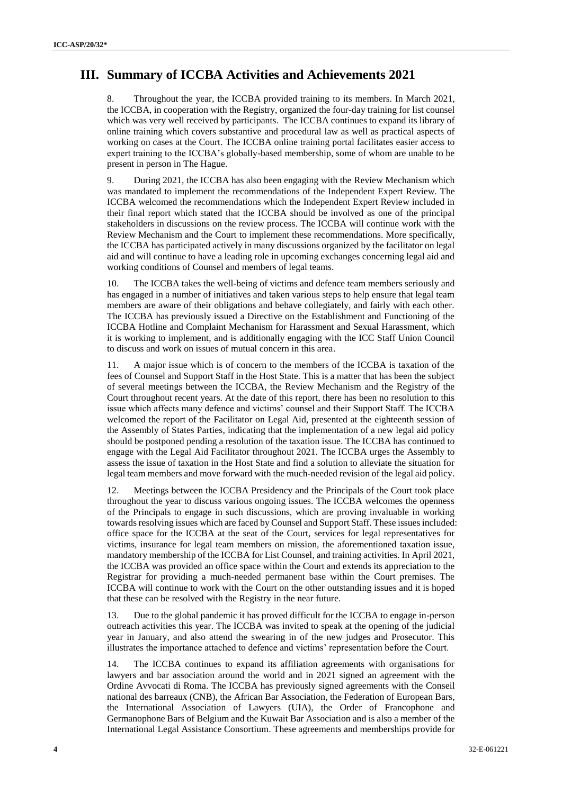## **III. Summary of ICCBA Activities and Achievements 2021**

8. Throughout the year, the ICCBA provided training to its members. In March 2021, the ICCBA, in cooperation with the Registry, organized the four-day training for list counsel which was very well received by participants. The ICCBA continues to expand its library of online training which covers substantive and procedural law as well as practical aspects of working on cases at the Court. The ICCBA online training portal facilitates easier access to expert training to the ICCBA's globally-based membership, some of whom are unable to be present in person in The Hague.

9. During 2021, the ICCBA has also been engaging with the Review Mechanism which was mandated to implement the recommendations of the Independent Expert Review. The ICCBA welcomed the recommendations which the Independent Expert Review included in their final report which stated that the ICCBA should be involved as one of the principal stakeholders in discussions on the review process. The ICCBA will continue work with the Review Mechanism and the Court to implement these recommendations. More specifically, the ICCBA has participated actively in many discussions organized by the facilitator on legal aid and will continue to have a leading role in upcoming exchanges concerning legal aid and working conditions of Counsel and members of legal teams.

10. The ICCBA takes the well-being of victims and defence team members seriously and has engaged in a number of initiatives and taken various steps to help ensure that legal team members are aware of their obligations and behave collegiately, and fairly with each other. The ICCBA has previously issued a Directive on the Establishment and Functioning of the ICCBA Hotline and Complaint Mechanism for Harassment and Sexual Harassment, which it is working to implement, and is additionally engaging with the ICC Staff Union Council to discuss and work on issues of mutual concern in this area.

11. A major issue which is of concern to the members of the ICCBA is taxation of the fees of Counsel and Support Staff in the Host State. This is a matter that has been the subject of several meetings between the ICCBA, the Review Mechanism and the Registry of the Court throughout recent years. At the date of this report, there has been no resolution to this issue which affects many defence and victims' counsel and their Support Staff. The ICCBA welcomed the report of the Facilitator on Legal Aid, presented at the eighteenth session of the Assembly of States Parties, indicating that the implementation of a new legal aid policy should be postponed pending a resolution of the taxation issue. The ICCBA has continued to engage with the Legal Aid Facilitator throughout 2021. The ICCBA urges the Assembly to assess the issue of taxation in the Host State and find a solution to alleviate the situation for legal team members and move forward with the much-needed revision of the legal aid policy.

12. Meetings between the ICCBA Presidency and the Principals of the Court took place throughout the year to discuss various ongoing issues. The ICCBA welcomes the openness of the Principals to engage in such discussions, which are proving invaluable in working towards resolving issues which are faced by Counsel and Support Staff. These issues included: office space for the ICCBA at the seat of the Court, services for legal representatives for victims, insurance for legal team members on mission, the aforementioned taxation issue, mandatory membership of the ICCBA for List Counsel, and training activities. In April 2021, the ICCBA was provided an office space within the Court and extends its appreciation to the Registrar for providing a much-needed permanent base within the Court premises. The ICCBA will continue to work with the Court on the other outstanding issues and it is hoped that these can be resolved with the Registry in the near future.

13. Due to the global pandemic it has proved difficult for the ICCBA to engage in-person outreach activities this year. The ICCBA was invited to speak at the opening of the judicial year in January, and also attend the swearing in of the new judges and Prosecutor. This illustrates the importance attached to defence and victims' representation before the Court.

14. The ICCBA continues to expand its affiliation agreements with organisations for lawyers and bar association around the world and in 2021 signed an agreement with the Ordine Avvocati di Roma. The ICCBA has previously signed agreements with the Conseil national des barreaux (CNB), the African Bar Association, the Federation of European Bars, the International Association of Lawyers (UIA), the Order of Francophone and Germanophone Bars of Belgium and the Kuwait Bar Association and is also a member of the International Legal Assistance Consortium. These agreements and memberships provide for